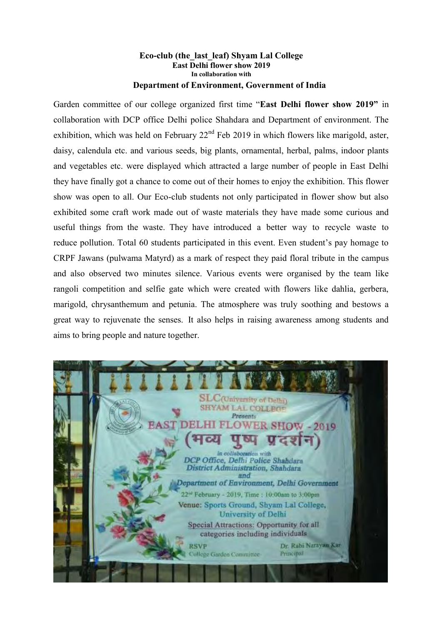## **Eco-club (the\_last\_leaf) Shyam Lal College East Delhi flower show 2019 In collaboration with Department of Environment, Government of India**

Garden committee of our college organized first time "**East Delhi flower show 2019"** in collaboration with DCP office Delhi police Shahdara and Department of environment. The exhibition, which was held on February  $22<sup>nd</sup>$  Feb 2019 in which flowers like marigold, aster, daisy, calendula etc. and various seeds, big plants, ornamental, herbal, palms, indoor plants and vegetables etc. were displayed which attracted a large number of people in East Delhi they have finally got a chance to come out of their homes to enjoy the exhibition. This flower show was open to all. Our Eco-club students not only participated in flower show but also exhibited some craft work made out of waste materials they have made some curious and useful things from the waste. They have introduced a better way to recycle waste to reduce pollution. Total 60 students participated in this event. Even student's pay homage to CRPF Jawans (pulwama Matyrd) as a mark of respect they paid floral tribute in the campus and also observed two minutes silence. Various events were organised by the team like rangoli competition and selfie gate which were created with flowers like dahlia, gerbera, marigold, chrysanthemum and petunia. The atmosphere was truly soothing and bestows a great way to rejuvenate the senses. It also helps in raising awareness among students and aims to bring people and nature together.

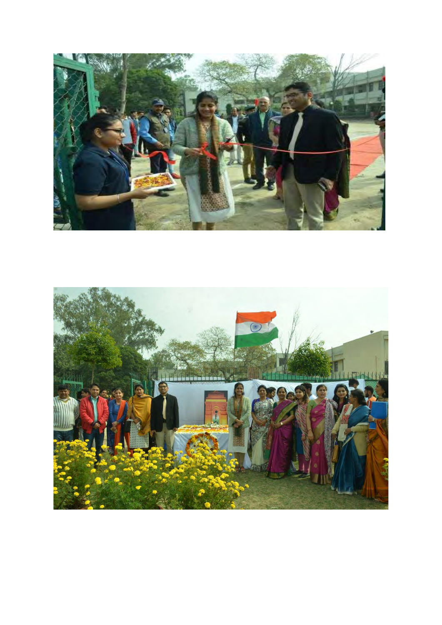

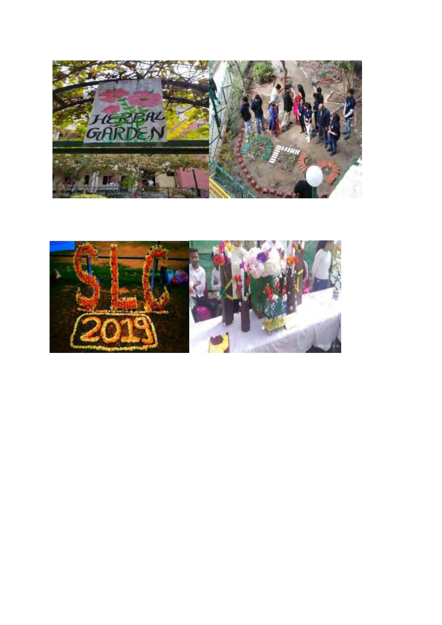

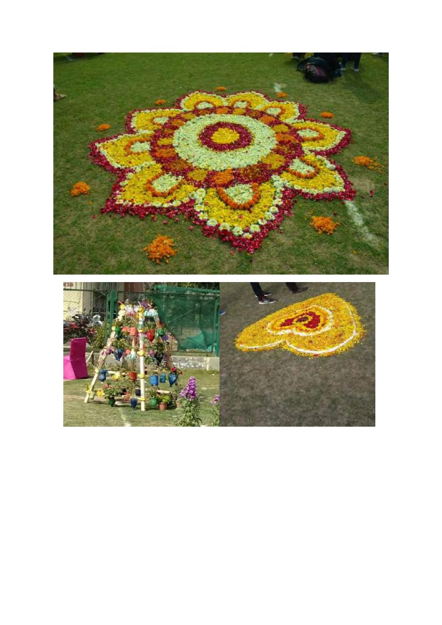